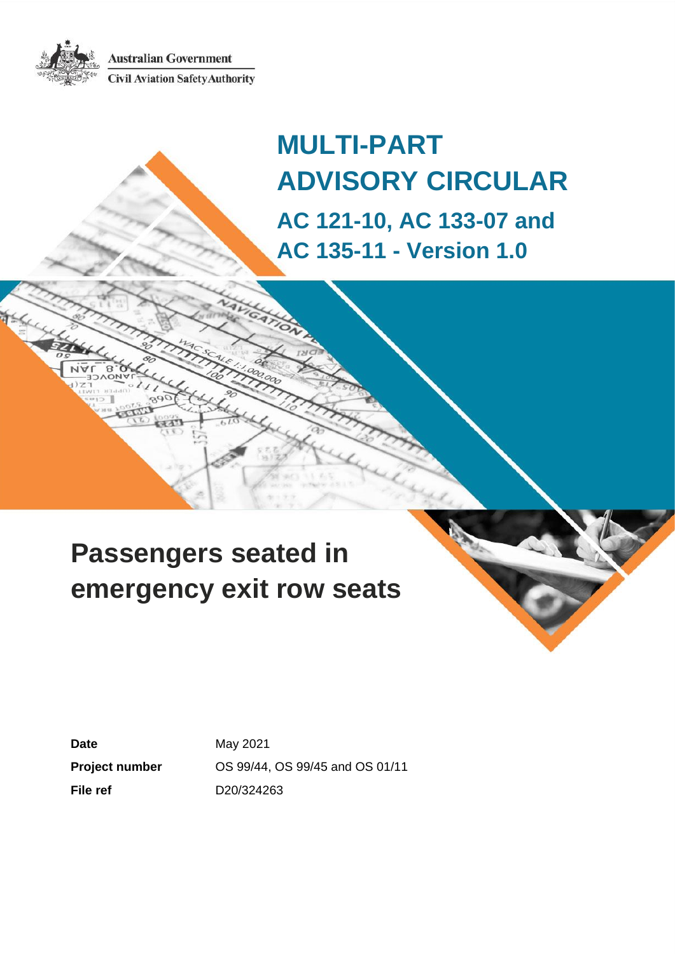**Australian Government Civil Aviation Safety Authority** 



# **Passengers seated in emergency exit row seats**

**Date May 2021 File ref** D20/324263

**Project number** OS 99/44, OS 99/45 and OS 01/11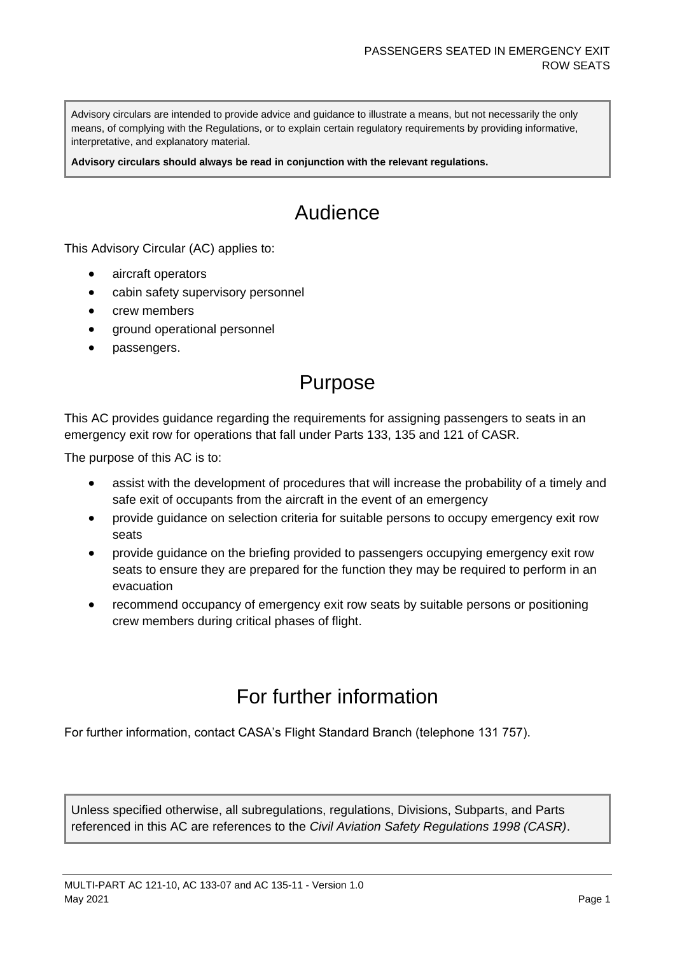Advisory circulars are intended to provide advice and guidance to illustrate a means, but not necessarily the only means, of complying with the Regulations, or to explain certain regulatory requirements by providing informative, interpretative, and explanatory material.

**Advisory circulars should always be read in conjunction with the relevant regulations.**

# Audience

This Advisory Circular (AC) applies to:

- aircraft operators
- cabin safety supervisory personnel
- crew members
- ground operational personnel
- passengers.

### Purpose

This AC provides guidance regarding the requirements for assigning passengers to seats in an emergency exit row for operations that fall under Parts 133, 135 and 121 of CASR.

The purpose of this AC is to:

- assist with the development of procedures that will increase the probability of a timely and safe exit of occupants from the aircraft in the event of an emergency
- provide guidance on selection criteria for suitable persons to occupy emergency exit row seats
- provide guidance on the briefing provided to passengers occupying emergency exit row seats to ensure they are prepared for the function they may be required to perform in an evacuation
- recommend occupancy of emergency exit row seats by suitable persons or positioning crew members during critical phases of flight.

### For further information

For further information, contact CASA's Flight Standard Branch (telephone 131 757).

Unless specified otherwise, all subregulations, regulations, Divisions, Subparts, and Parts referenced in this AC are references to the *Civil Aviation Safety Regulations 1998 (CASR)*.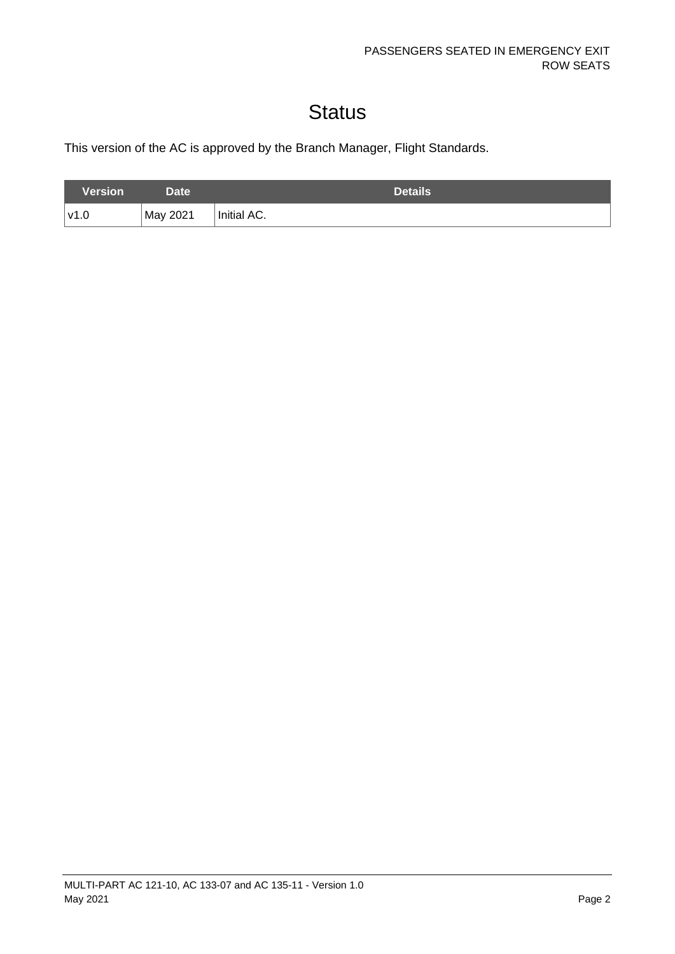# **Status**

This version of the AC is approved by the Branch Manager, Flight Standards.

| Version | Date <sup>1</sup> | <b>Details</b> |
|---------|-------------------|----------------|
| '∨1.0   | May 2021          | Initial AC.    |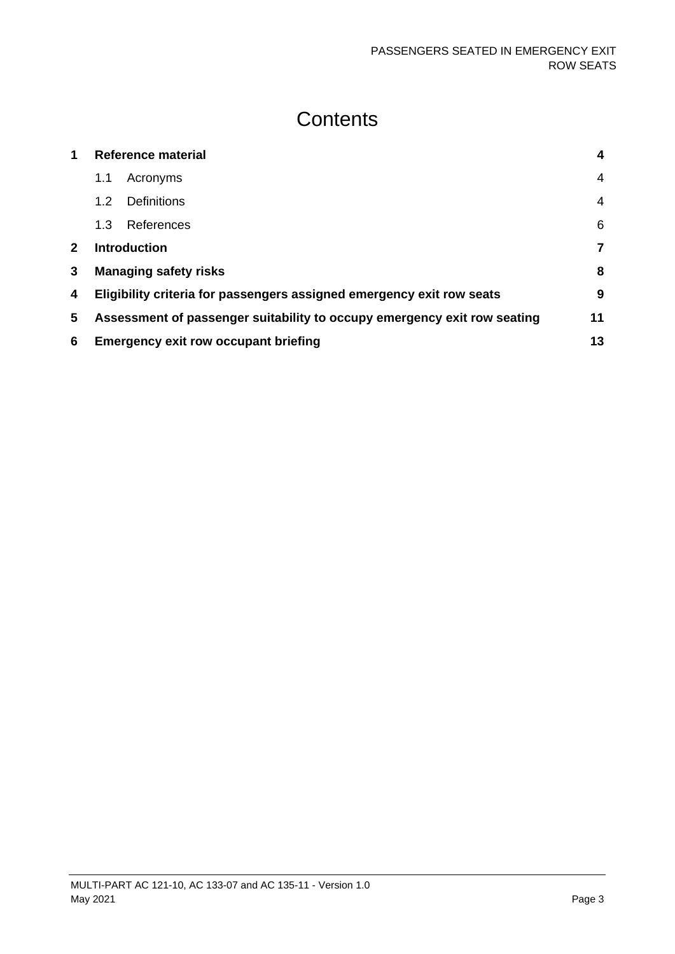### **Contents**

| 1            | <b>Reference material</b>                                                |                              | $\overline{\mathbf{4}}$ |
|--------------|--------------------------------------------------------------------------|------------------------------|-------------------------|
|              | 1.1                                                                      | Acronyms                     | 4                       |
|              | 1.2                                                                      | <b>Definitions</b>           | 4                       |
|              | 1.3                                                                      | References                   | 6                       |
| $\mathbf{2}$ |                                                                          | <b>Introduction</b>          | 7                       |
| 3            |                                                                          | <b>Managing safety risks</b> | 8                       |
| 4            | Eligibility criteria for passengers assigned emergency exit row seats    |                              | 9                       |
| 5            | Assessment of passenger suitability to occupy emergency exit row seating |                              | 11                      |
| 6            | <b>Emergency exit row occupant briefing</b>                              |                              | 13                      |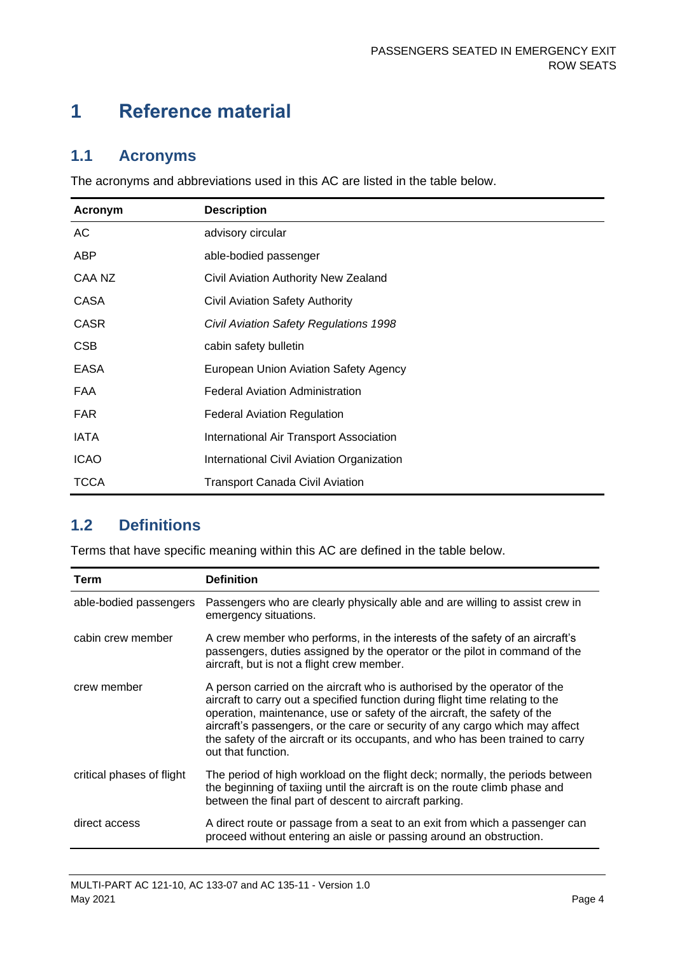## <span id="page-4-0"></span>**1 Reference material**

### <span id="page-4-1"></span>**1.1 Acronyms**

The acronyms and abbreviations used in this AC are listed in the table below.

| Acronym     | <b>Description</b>                        |
|-------------|-------------------------------------------|
| AC          | advisory circular                         |
| <b>ABP</b>  | able-bodied passenger                     |
| CAA NZ      | Civil Aviation Authority New Zealand      |
| CASA        | Civil Aviation Safety Authority           |
| <b>CASR</b> | Civil Aviation Safety Regulations 1998    |
| <b>CSB</b>  | cabin safety bulletin                     |
| <b>EASA</b> | European Union Aviation Safety Agency     |
| <b>FAA</b>  | <b>Federal Aviation Administration</b>    |
| <b>FAR</b>  | <b>Federal Aviation Regulation</b>        |
| <b>IATA</b> | International Air Transport Association   |
| <b>ICAO</b> | International Civil Aviation Organization |
| <b>TCCA</b> | <b>Transport Canada Civil Aviation</b>    |

### <span id="page-4-2"></span>**1.2 Definitions**

Terms that have specific meaning within this AC are defined in the table below.

| Term                      | <b>Definition</b>                                                                                                                                                                                                                                                                                                                                                                                                              |
|---------------------------|--------------------------------------------------------------------------------------------------------------------------------------------------------------------------------------------------------------------------------------------------------------------------------------------------------------------------------------------------------------------------------------------------------------------------------|
| able-bodied passengers    | Passengers who are clearly physically able and are willing to assist crew in<br>emergency situations.                                                                                                                                                                                                                                                                                                                          |
| cabin crew member         | A crew member who performs, in the interests of the safety of an aircraft's<br>passengers, duties assigned by the operator or the pilot in command of the<br>aircraft, but is not a flight crew member.                                                                                                                                                                                                                        |
| crew member               | A person carried on the aircraft who is authorised by the operator of the<br>aircraft to carry out a specified function during flight time relating to the<br>operation, maintenance, use or safety of the aircraft, the safety of the<br>aircraft's passengers, or the care or security of any cargo which may affect<br>the safety of the aircraft or its occupants, and who has been trained to carry<br>out that function. |
| critical phases of flight | The period of high workload on the flight deck; normally, the periods between<br>the beginning of taxiing until the aircraft is on the route climb phase and<br>between the final part of descent to aircraft parking.                                                                                                                                                                                                         |
| direct access             | A direct route or passage from a seat to an exit from which a passenger can<br>proceed without entering an aisle or passing around an obstruction.                                                                                                                                                                                                                                                                             |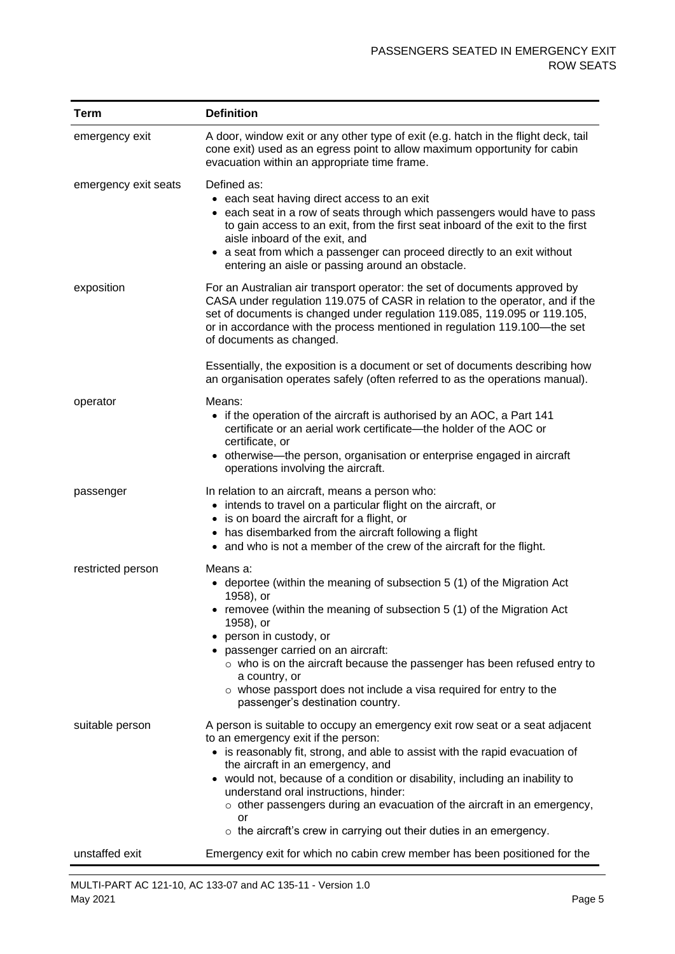| <b>Term</b>          | <b>Definition</b>                                                                                                                                                                                                                                                                                                                                                                                                                                                                                                                      |
|----------------------|----------------------------------------------------------------------------------------------------------------------------------------------------------------------------------------------------------------------------------------------------------------------------------------------------------------------------------------------------------------------------------------------------------------------------------------------------------------------------------------------------------------------------------------|
| emergency exit       | A door, window exit or any other type of exit (e.g. hatch in the flight deck, tail<br>cone exit) used as an egress point to allow maximum opportunity for cabin<br>evacuation within an appropriate time frame.                                                                                                                                                                                                                                                                                                                        |
| emergency exit seats | Defined as:<br>• each seat having direct access to an exit<br>• each seat in a row of seats through which passengers would have to pass<br>to gain access to an exit, from the first seat inboard of the exit to the first<br>aisle inboard of the exit, and<br>• a seat from which a passenger can proceed directly to an exit without<br>entering an aisle or passing around an obstacle.                                                                                                                                            |
| exposition           | For an Australian air transport operator: the set of documents approved by<br>CASA under regulation 119.075 of CASR in relation to the operator, and if the<br>set of documents is changed under regulation 119.085, 119.095 or 119.105,<br>or in accordance with the process mentioned in regulation 119.100—the set<br>of documents as changed.                                                                                                                                                                                      |
|                      | Essentially, the exposition is a document or set of documents describing how<br>an organisation operates safely (often referred to as the operations manual).                                                                                                                                                                                                                                                                                                                                                                          |
| operator             | Means:<br>• if the operation of the aircraft is authorised by an AOC, a Part 141<br>certificate or an aerial work certificate—the holder of the AOC or<br>certificate, or<br>otherwise—the person, organisation or enterprise engaged in aircraft<br>$\bullet$<br>operations involving the aircraft.                                                                                                                                                                                                                                   |
| passenger            | In relation to an aircraft, means a person who:<br>• intends to travel on a particular flight on the aircraft, or<br>• is on board the aircraft for a flight, or<br>• has disembarked from the aircraft following a flight<br>• and who is not a member of the crew of the aircraft for the flight.                                                                                                                                                                                                                                    |
| restricted person    | Means a:<br>• deportee (within the meaning of subsection 5 (1) of the Migration Act<br>1958), or<br>• removee (within the meaning of subsection 5 (1) of the Migration Act<br>1958), or<br>person in custody, or<br>• passenger carried on an aircraft:<br>$\circ$ who is on the aircraft because the passenger has been refused entry to<br>a country, or<br>$\circ$ whose passport does not include a visa required for entry to the<br>passenger's destination country.                                                             |
| suitable person      | A person is suitable to occupy an emergency exit row seat or a seat adjacent<br>to an emergency exit if the person:<br>• is reasonably fit, strong, and able to assist with the rapid evacuation of<br>the aircraft in an emergency, and<br>• would not, because of a condition or disability, including an inability to<br>understand oral instructions, hinder:<br>$\circ$ other passengers during an evacuation of the aircraft in an emergency,<br>or<br>$\circ$ the aircraft's crew in carrying out their duties in an emergency. |
| unstaffed exit       | Emergency exit for which no cabin crew member has been positioned for the                                                                                                                                                                                                                                                                                                                                                                                                                                                              |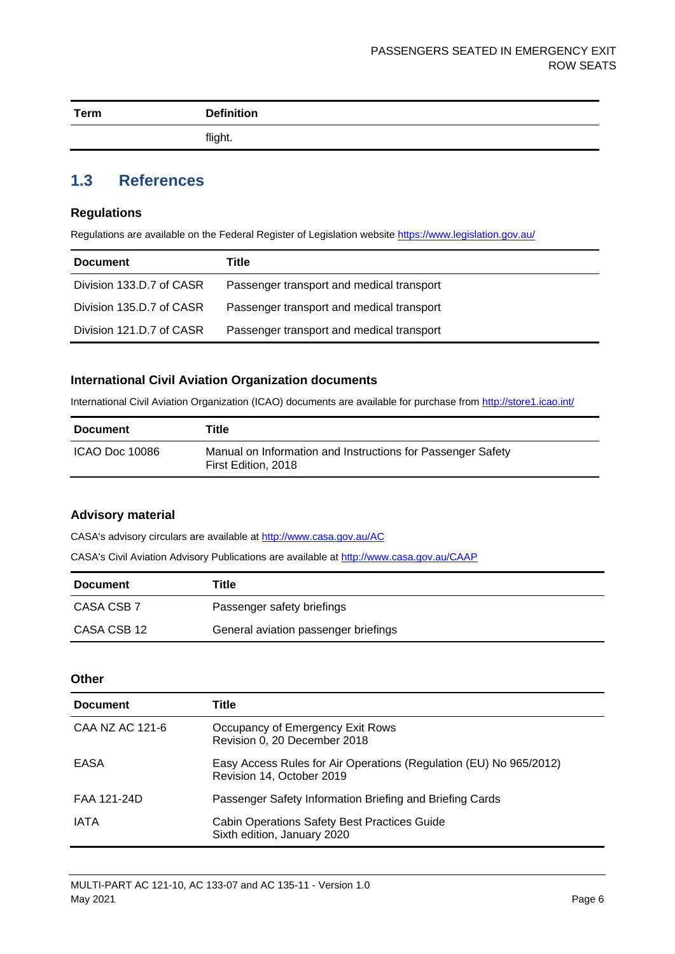| <b>Term</b> | <b>Definition</b> |
|-------------|-------------------|
|             | flight.           |

### <span id="page-6-0"></span>**1.3 References**

#### **Regulations**

Regulations are available on the Federal Register of Legislation website<https://www.legislation.gov.au/>

| <b>Document</b>          | Title                                     |
|--------------------------|-------------------------------------------|
| Division 133.D.7 of CASR | Passenger transport and medical transport |
| Division 135.D.7 of CASR | Passenger transport and medical transport |
| Division 121.D.7 of CASR | Passenger transport and medical transport |

#### **International Civil Aviation Organization documents**

International Civil Aviation Organization (ICAO) documents are available for purchase from<http://store1.icao.int/>

| <b>Document</b> | Title                                                                              |
|-----------------|------------------------------------------------------------------------------------|
| ICAO Doc 10086  | Manual on Information and Instructions for Passenger Safety<br>First Edition, 2018 |

#### **Advisory material**

CASA's advisory circulars are available at [http://www.casa.gov.au/AC](http://www.casa.gov.au/ACs)

CASA's Civil Aviation Advisory Publications are available at [http://www.casa.gov.au/CAAP](http://www.casa.gov.au/CAAPs)

| <b>Document</b> | Title                                |
|-----------------|--------------------------------------|
| CASA CSB 7      | Passenger safety briefings           |
| CASA CSB 12     | General aviation passenger briefings |

#### **Other**

| <b>Document</b> | Title                                                                                           |
|-----------------|-------------------------------------------------------------------------------------------------|
| CAA NZ AC 121-6 | Occupancy of Emergency Exit Rows<br>Revision 0, 20 December 2018                                |
| EASA            | Easy Access Rules for Air Operations (Regulation (EU) No 965/2012)<br>Revision 14, October 2019 |
| FAA 121-24D     | Passenger Safety Information Briefing and Briefing Cards                                        |
| <b>IATA</b>     | <b>Cabin Operations Safety Best Practices Guide</b><br>Sixth edition, January 2020              |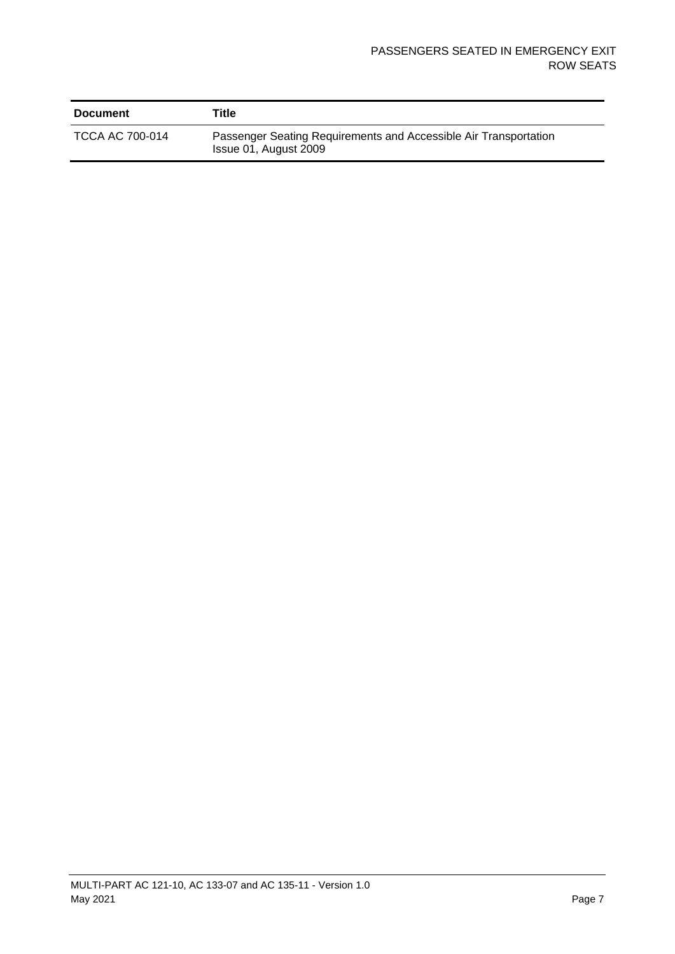| <b>Document</b> | Title                                                                                     |
|-----------------|-------------------------------------------------------------------------------------------|
| TCCA AC 700-014 | Passenger Seating Requirements and Accessible Air Transportation<br>Issue 01, August 2009 |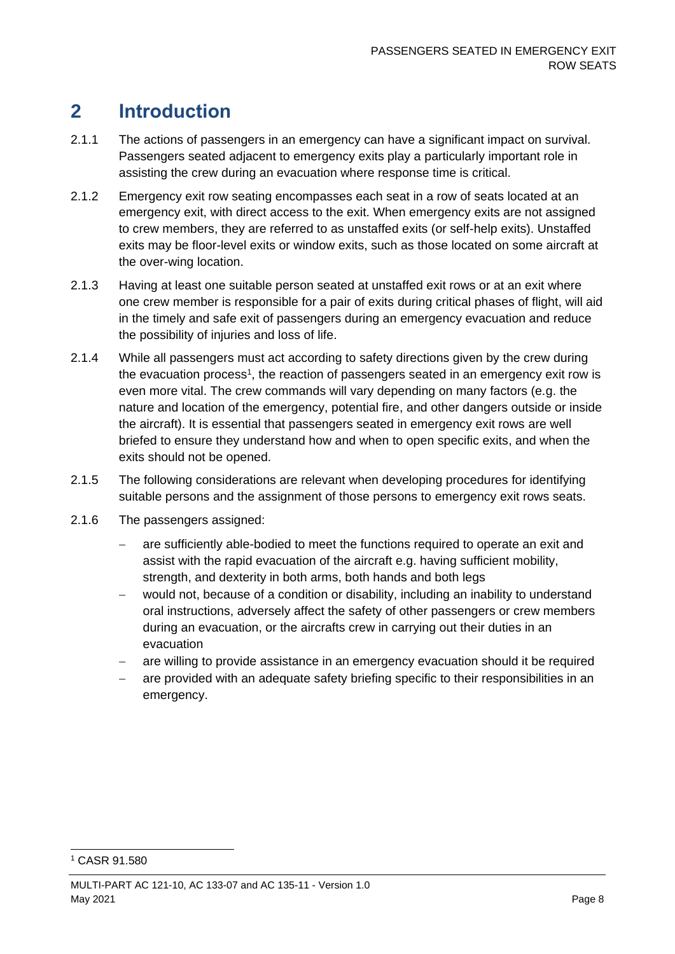### <span id="page-8-0"></span>**2 Introduction**

- 2.1.1 The actions of passengers in an emergency can have a significant impact on survival. Passengers seated adjacent to emergency exits play a particularly important role in assisting the crew during an evacuation where response time is critical.
- 2.1.2 Emergency exit row seating encompasses each seat in a row of seats located at an emergency exit, with direct access to the exit. When emergency exits are not assigned to crew members, they are referred to as unstaffed exits (or self-help exits). Unstaffed exits may be floor-level exits or window exits, such as those located on some aircraft at the over-wing location.
- 2.1.3 Having at least one suitable person seated at unstaffed exit rows or at an exit where one crew member is responsible for a pair of exits during critical phases of flight, will aid in the timely and safe exit of passengers during an emergency evacuation and reduce the possibility of injuries and loss of life.
- 2.1.4 While all passengers must act according to safety directions given by the crew during the evacuation process<sup>1</sup>, the reaction of passengers seated in an emergency exit row is even more vital. The crew commands will vary depending on many factors (e.g. the nature and location of the emergency, potential fire, and other dangers outside or inside the aircraft). It is essential that passengers seated in emergency exit rows are well briefed to ensure they understand how and when to open specific exits, and when the exits should not be opened.
- 2.1.5 The following considerations are relevant when developing procedures for identifying suitable persons and the assignment of those persons to emergency exit rows seats.
- 2.1.6 The passengers assigned:
	- are sufficiently able-bodied to meet the functions required to operate an exit and assist with the rapid evacuation of the aircraft e.g. having sufficient mobility, strength, and dexterity in both arms, both hands and both legs
	- would not, because of a condition or disability, including an inability to understand oral instructions, adversely affect the safety of other passengers or crew members during an evacuation, or the aircrafts crew in carrying out their duties in an evacuation
	- are willing to provide assistance in an emergency evacuation should it be required
	- are provided with an adequate safety briefing specific to their responsibilities in an emergency.

<sup>1</sup> CASR 91.580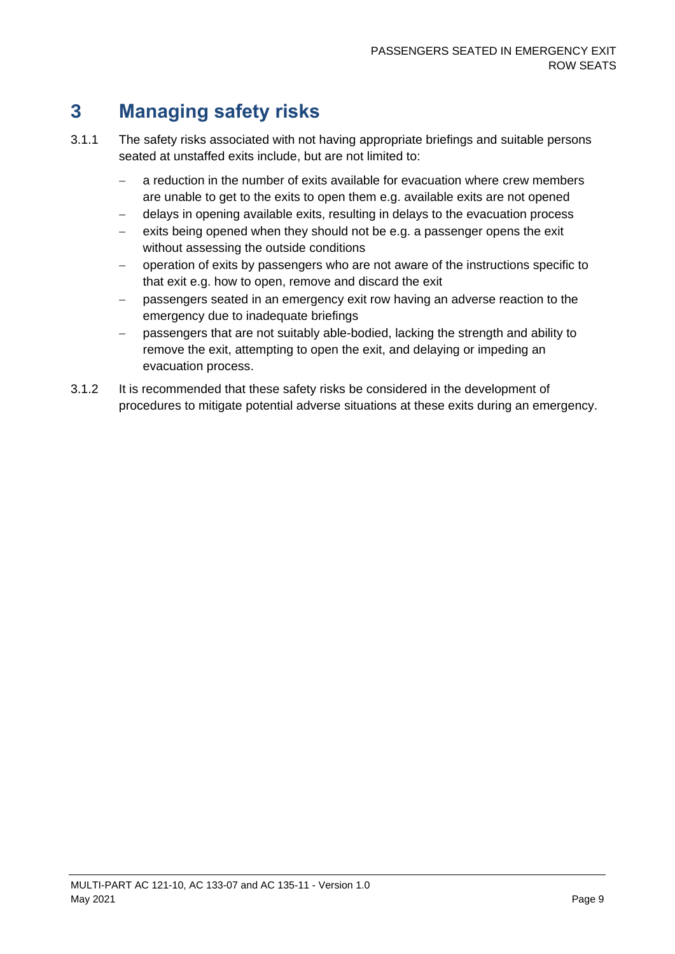## <span id="page-9-0"></span>**3 Managing safety risks**

- 3.1.1 The safety risks associated with not having appropriate briefings and suitable persons seated at unstaffed exits include, but are not limited to:
	- − a reduction in the number of exits available for evacuation where crew members are unable to get to the exits to open them e.g. available exits are not opened
	- delays in opening available exits, resulting in delays to the evacuation process
	- − exits being opened when they should not be e.g. a passenger opens the exit without assessing the outside conditions
	- − operation of exits by passengers who are not aware of the instructions specific to that exit e.g. how to open, remove and discard the exit
	- − passengers seated in an emergency exit row having an adverse reaction to the emergency due to inadequate briefings
	- − passengers that are not suitably able-bodied, lacking the strength and ability to remove the exit, attempting to open the exit, and delaying or impeding an evacuation process.
- 3.1.2 It is recommended that these safety risks be considered in the development of procedures to mitigate potential adverse situations at these exits during an emergency.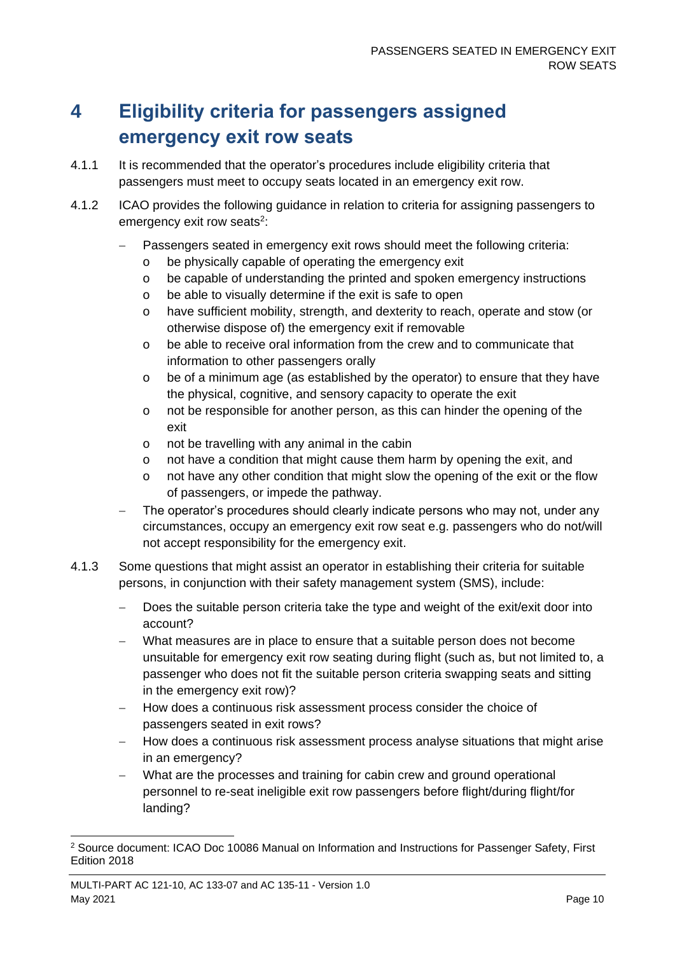### <span id="page-10-0"></span>**4 Eligibility criteria for passengers assigned emergency exit row seats**

- 4.1.1 It is recommended that the operator's procedures include eligibility criteria that passengers must meet to occupy seats located in an emergency exit row.
- 4.1.2 ICAO provides the following guidance in relation to criteria for assigning passengers to emergency exit row seats<sup>2</sup>:
	- Passengers seated in emergency exit rows should meet the following criteria:
		- o be physically capable of operating the emergency exit
		- o be capable of understanding the printed and spoken emergency instructions
		- o be able to visually determine if the exit is safe to open
		- o have sufficient mobility, strength, and dexterity to reach, operate and stow (or otherwise dispose of) the emergency exit if removable
		- o be able to receive oral information from the crew and to communicate that information to other passengers orally
		- o be of a minimum age (as established by the operator) to ensure that they have the physical, cognitive, and sensory capacity to operate the exit
		- o not be responsible for another person, as this can hinder the opening of the exit
		- o not be travelling with any animal in the cabin
		- o not have a condition that might cause them harm by opening the exit, and
		- o not have any other condition that might slow the opening of the exit or the flow of passengers, or impede the pathway.
	- The operator's procedures should clearly indicate persons who may not, under any circumstances, occupy an emergency exit row seat e.g. passengers who do not/will not accept responsibility for the emergency exit.
- 4.1.3 Some questions that might assist an operator in establishing their criteria for suitable persons, in conjunction with their safety management system (SMS), include:
	- Does the suitable person criteria take the type and weight of the exit/exit door into account?
	- What measures are in place to ensure that a suitable person does not become unsuitable for emergency exit row seating during flight (such as, but not limited to, a passenger who does not fit the suitable person criteria swapping seats and sitting in the emergency exit row)?
	- − How does a continuous risk assessment process consider the choice of passengers seated in exit rows?
	- − How does a continuous risk assessment process analyse situations that might arise in an emergency?
	- What are the processes and training for cabin crew and ground operational personnel to re-seat ineligible exit row passengers before flight/during flight/for landing?

<sup>&</sup>lt;sup>2</sup> Source document: ICAO Doc 10086 Manual on Information and Instructions for Passenger Safety, First Edition 2018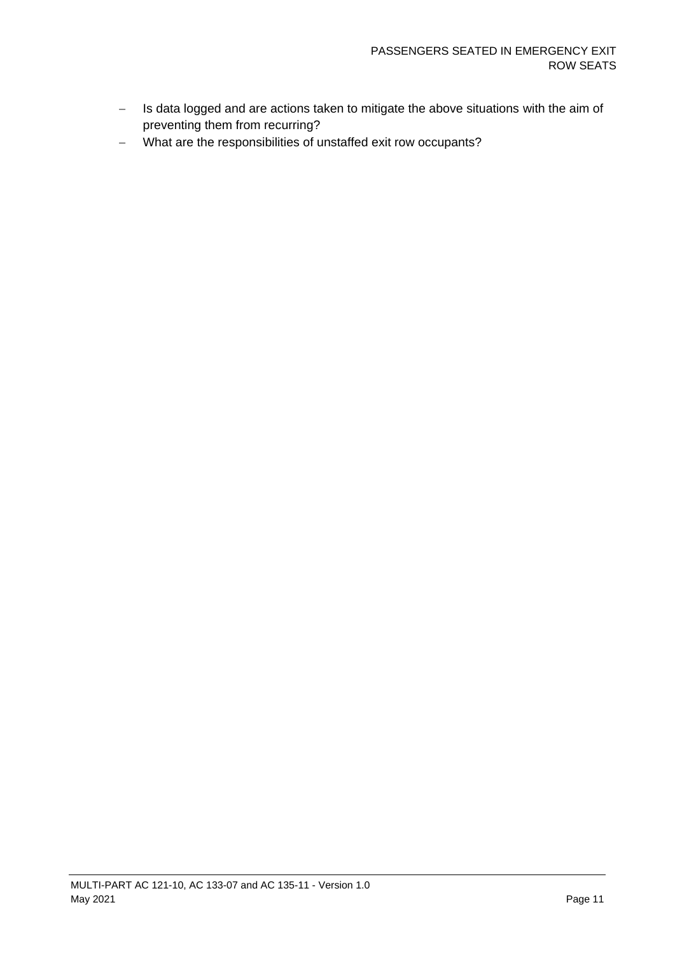- − Is data logged and are actions taken to mitigate the above situations with the aim of preventing them from recurring?
- − What are the responsibilities of unstaffed exit row occupants?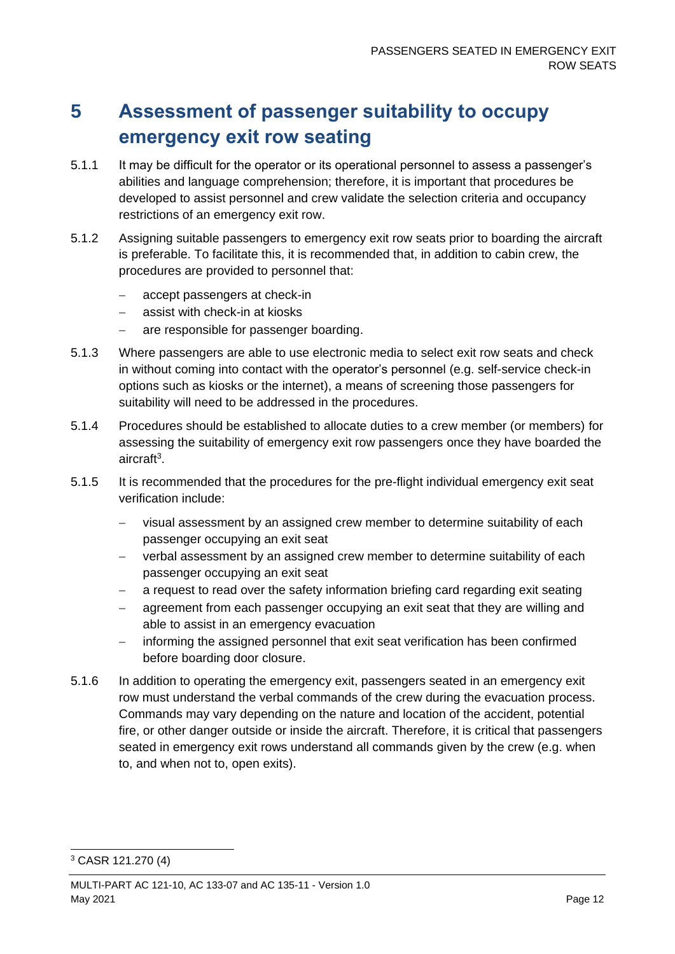### <span id="page-12-0"></span>**5 Assessment of passenger suitability to occupy emergency exit row seating**

- 5.1.1 It may be difficult for the operator or its operational personnel to assess a passenger's abilities and language comprehension; therefore, it is important that procedures be developed to assist personnel and crew validate the selection criteria and occupancy restrictions of an emergency exit row.
- 5.1.2 Assigning suitable passengers to emergency exit row seats prior to boarding the aircraft is preferable. To facilitate this, it is recommended that, in addition to cabin crew, the procedures are provided to personnel that:
	- − accept passengers at check-in
	- − assist with check-in at kiosks
	- are responsible for passenger boarding.
- 5.1.3 Where passengers are able to use electronic media to select exit row seats and check in without coming into contact with the operator's personnel (e.g. self-service check-in options such as kiosks or the internet), a means of screening those passengers for suitability will need to be addressed in the procedures.
- 5.1.4 Procedures should be established to allocate duties to a crew member (or members) for assessing the suitability of emergency exit row passengers once they have boarded the aircraft<sup>3</sup> .
- 5.1.5 It is recommended that the procedures for the pre-flight individual emergency exit seat verification include:
	- visual assessment by an assigned crew member to determine suitability of each passenger occupying an exit seat
	- − verbal assessment by an assigned crew member to determine suitability of each passenger occupying an exit seat
	- a request to read over the safety information briefing card regarding exit seating
	- agreement from each passenger occupying an exit seat that they are willing and able to assist in an emergency evacuation
	- − informing the assigned personnel that exit seat verification has been confirmed before boarding door closure.
- 5.1.6 In addition to operating the emergency exit, passengers seated in an emergency exit row must understand the verbal commands of the crew during the evacuation process. Commands may vary depending on the nature and location of the accident, potential fire, or other danger outside or inside the aircraft. Therefore, it is critical that passengers seated in emergency exit rows understand all commands given by the crew (e.g. when to, and when not to, open exits).

<sup>3</sup> CASR 121.270 (4)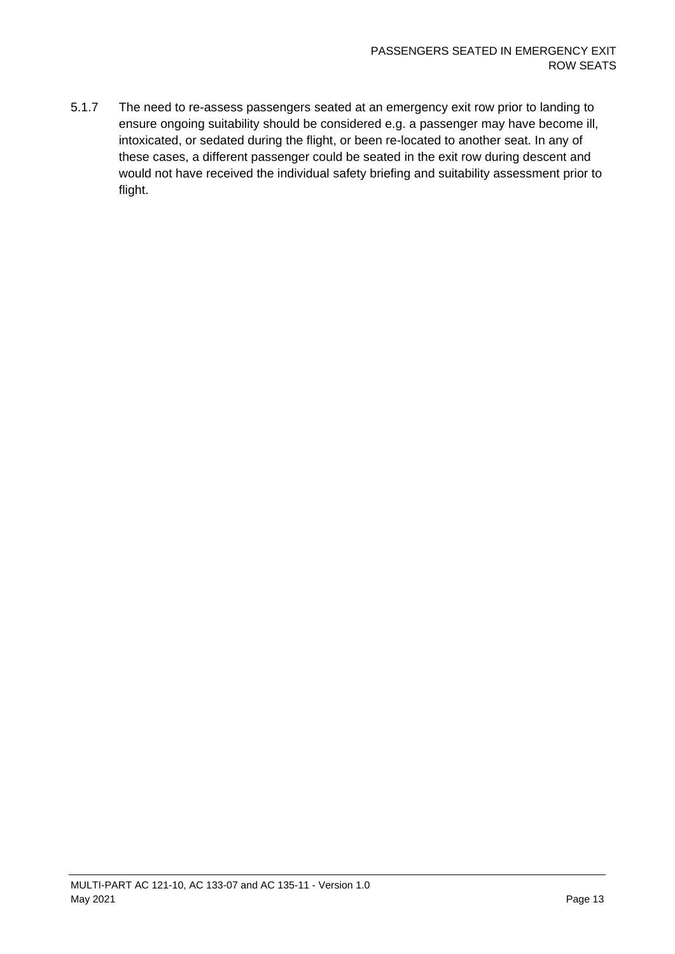5.1.7 The need to re-assess passengers seated at an emergency exit row prior to landing to ensure ongoing suitability should be considered e.g. a passenger may have become ill, intoxicated, or sedated during the flight, or been re-located to another seat. In any of these cases, a different passenger could be seated in the exit row during descent and would not have received the individual safety briefing and suitability assessment prior to flight.